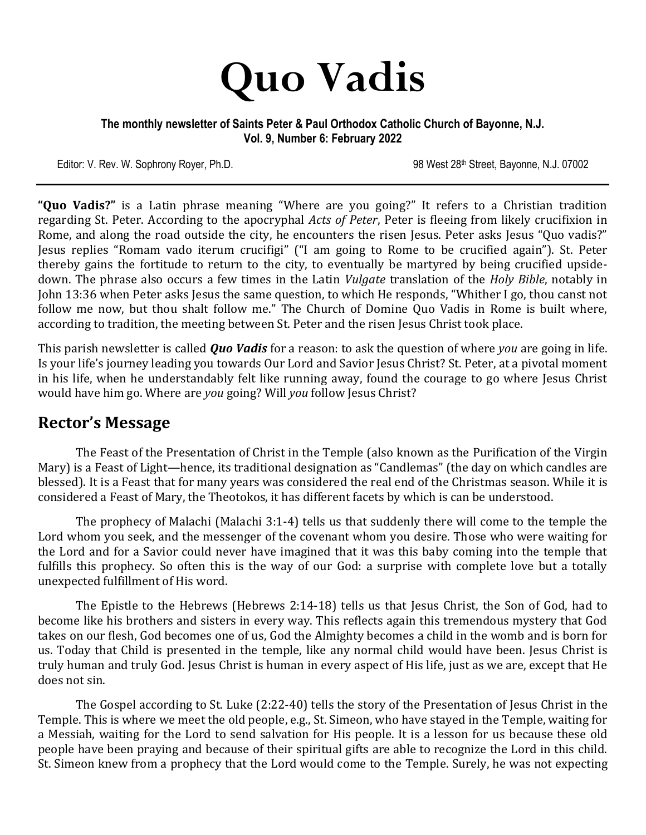

#### **The monthly newsletter of Saints Peter & Paul Orthodox Catholic Church of Bayonne, N.J. Vol. 9, Number 6: February 2022**

Editor: V. Rev. W. Sophrony Royer, Ph.D. 98 West 28th Street, Bayonne, N.J. 07002

**"Quo Vadis?"** is a Latin phrase meaning "Where are you going?" It refers to a Christian tradition regarding St. Peter. According to the apocryphal *Acts of Peter*, Peter is fleeing from likely crucifixion in Rome, and along the road outside the city, he encounters the risen Jesus. Peter asks Jesus "Quo vadis?" Jesus replies "Romam vado iterum crucifigi" ("I am going to Rome to be crucified again"). St. Peter thereby gains the fortitude to return to the city, to eventually be martyred by being crucified upsidedown. The phrase also occurs a few times in the Latin *Vulgate* translation of the *Holy Bible*, notably in John 13:36 when Peter asks Jesus the same question, to which He responds, "Whither I go, thou canst not follow me now, but thou shalt follow me." The Church of Domine Quo Vadis in Rome is built where, according to tradition, the meeting between St. Peter and the risen Jesus Christ took place.

This parish newsletter is called *Quo Vadis* for a reason: to ask the question of where *you* are going in life. Is your life's journey leading you towards Our Lord and Savior Jesus Christ? St. Peter, at a pivotal moment in his life, when he understandably felt like running away, found the courage to go where Jesus Christ would have him go. Where are *you* going? Will *you* follow Jesus Christ?

### **Rector's Message**

The Feast of the Presentation of Christ in the Temple (also known as the Purification of the Virgin Mary) is a Feast of Light—hence, its traditional designation as "Candlemas" (the day on which candles are blessed). It is a Feast that for many years was considered the real end of the Christmas season. While it is considered a Feast of Mary, the Theotokos, it has different facets by which is can be understood.

The prophecy of Malachi (Malachi 3:1-4) tells us that suddenly there will come to the temple the Lord whom you seek, and the messenger of the covenant whom you desire. Those who were waiting for the Lord and for a Savior could never have imagined that it was this baby coming into the temple that fulfills this prophecy. So often this is the way of our God: a surprise with complete love but a totally unexpected fulfillment of His word.

The Epistle to the Hebrews (Hebrews 2:14-18) tells us that Jesus Christ, the Son of God, had to become like his brothers and sisters in every way. This reflects again this tremendous mystery that God takes on our flesh, God becomes one of us, God the Almighty becomes a child in the womb and is born for us. Today that Child is presented in the temple, like any normal child would have been. Jesus Christ is truly human and truly God. Jesus Christ is human in every aspect of His life, just as we are, except that He does not sin.

The Gospel according to St. Luke (2:22-40) tells the story of the Presentation of Jesus Christ in the Temple. This is where we meet the old people, e.g., St. Simeon, who have stayed in the Temple, waiting for a Messiah, waiting for the Lord to send salvation for His people. It is a lesson for us because these old people have been praying and because of their spiritual gifts are able to recognize the Lord in this child. St. Simeon knew from a prophecy that the Lord would come to the Temple. Surely, he was not expecting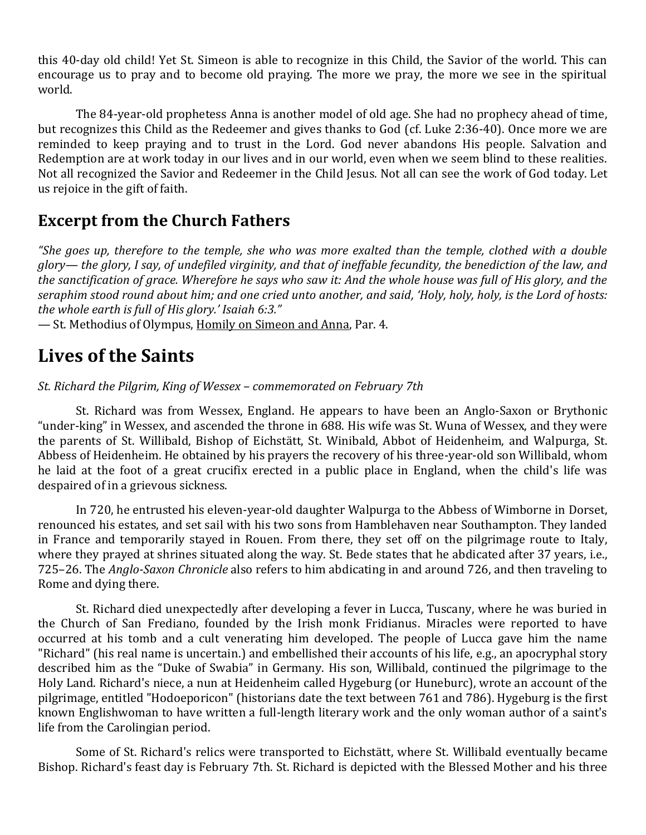this 40-day old child! Yet St. Simeon is able to recognize in this Child, the Savior of the world. This can encourage us to pray and to become old praying. The more we pray, the more we see in the spiritual world.

The 84-year-old prophetess Anna is another model of old age. She had no prophecy ahead of time, but recognizes this Child as the Redeemer and gives thanks to God (cf. Luke 2:36-40). Once more we are reminded to keep praying and to trust in the Lord. God never abandons His people. Salvation and Redemption are at work today in our lives and in our world, even when we seem blind to these realities. Not all recognized the Savior and Redeemer in the Child Jesus. Not all can see the work of God today. Let us rejoice in the gift of faith.

## **Excerpt from the Church Fathers**

*"She goes up, therefore to the temple, she who was more exalted than the temple, clothed with a double glory— the glory, I say, of undefiled virginity, and that of ineffable fecundity, the benediction of the law, and the sanctification of grace. Wherefore he says who saw it: And the whole house was full of His glory, and the seraphim stood round about him; and one cried unto another, and said, 'Holy, holy, holy, is the Lord of hosts: the whole earth is full of His glory.' Isaiah 6:3."*

— St. Methodius of Olympus, Homily on Simeon and Anna, Par. 4.

# **Lives of the Saints**

### *St. Richard the Pilgrim, King of Wessex – commemorated on February 7th*

St. Richard was from Wessex, England. He appears to have been an Anglo-Saxon or Brythonic "under-king" in Wessex, and ascended the throne in 688. His wife was St. Wuna of Wessex, and they were the parents of St. Willibald, Bishop of Eichstätt, St. Winibald, Abbot of Heidenheim, and Walpurga, St. Abbess of Heidenheim. He obtained by his prayers the recovery of his three-year-old son Willibald, whom he laid at the foot of a great crucifix erected in a public place in England, when the child's life was despaired of in a grievous sickness.

In 720, he entrusted his eleven-year-old daughter Walpurga to the Abbess of Wimborne in Dorset, renounced his estates, and set sail with his two sons from Hamblehaven near Southampton. They landed in France and temporarily stayed in Rouen. From there, they set off on the pilgrimage route to Italy, where they prayed at shrines situated along the way. St. Bede states that he abdicated after 37 years, i.e., 725–26. The *Anglo-Saxon Chronicle* also refers to him abdicating in and around 726, and then traveling to Rome and dying there.

St. Richard died unexpectedly after developing a fever in Lucca, Tuscany, where he was buried in the Church of San Frediano, founded by the Irish monk Fridianus. Miracles were reported to have occurred at his tomb and a cult venerating him developed. The people of Lucca gave him the name "Richard" (his real name is uncertain.) and embellished their accounts of his life, e.g., an apocryphal story described him as the "Duke of Swabia" in Germany. His son, Willibald, continued the pilgrimage to the Holy Land. Richard's niece, a nun at Heidenheim called Hygeburg (or Huneburc), wrote an account of the pilgrimage, entitled "Hodoeporicon" (historians date the text between 761 and 786). Hygeburg is the first known Englishwoman to have written a full-length literary work and the only woman author of a saint's life from the Carolingian period.

Some of St. Richard's relics were transported to Eichstätt, where St. Willibald eventually became Bishop. Richard's feast day is February 7th. St. Richard is depicted with the Blessed Mother and his three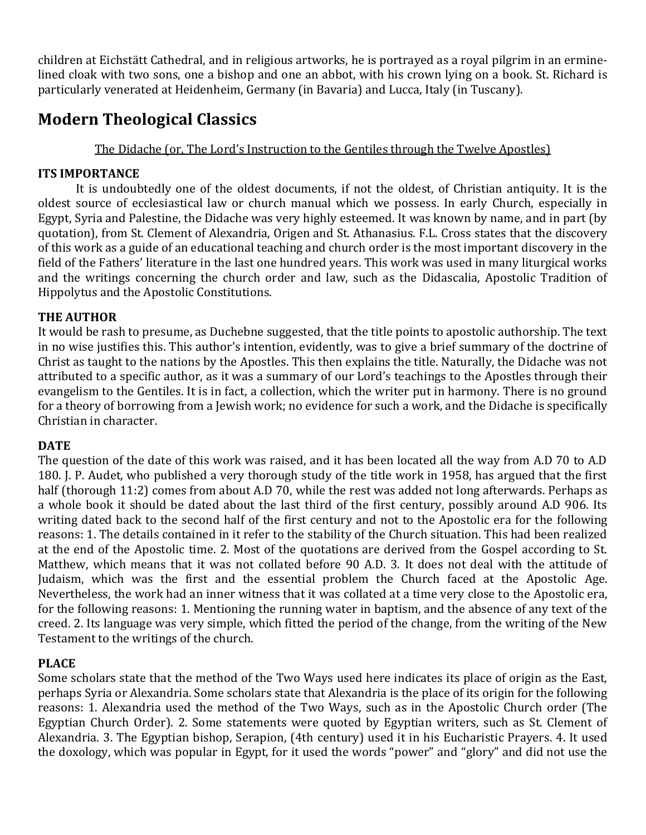children at Eichstätt Cathedral, and in religious artworks, he is portrayed as a royal pilgrim in an erminelined cloak with two sons, one a bishop and one an abbot, with his crown lying on a book. St. Richard is particularly venerated at Heidenheim, Germany (in Bavaria) and Lucca, Italy (in Tuscany).

# **Modern Theological Classics**

### The Didache (or, The Lord's Instruction to the Gentiles through the Twelve Apostles)

### **ITS IMPORTANCE**

It is undoubtedly one of the oldest documents, if not the oldest, of Christian antiquity. It is the oldest source of ecclesiastical law or church manual which we possess. In early Church, especially in Egypt, Syria and Palestine, the Didache was very highly esteemed. It was known by name, and in part (by quotation), from St. Clement of Alexandria, Origen and St. Athanasius. F.L. Cross states that the discovery of this work as a guide of an educational teaching and church order is the most important discovery in the field of the Fathers' literature in the last one hundred years. This work was used in many liturgical works and the writings concerning the church order and law, such as the Didascalia, Apostolic Tradition of Hippolytus and the Apostolic Constitutions.

### **THE AUTHOR**

It would be rash to presume, as Duchebne suggested, that the title points to apostolic authorship. The text in no wise justifies this. This author's intention, evidently, was to give a brief summary of the doctrine of Christ as taught to the nations by the Apostles. This then explains the title. Naturally, the Didache was not attributed to a specific author, as it was a summary of our Lord's teachings to the Apostles through their evangelism to the Gentiles. It is in fact, a collection, which the writer put in harmony. There is no ground for a theory of borrowing from a Jewish work; no evidence for such a work, and the Didache is specifically Christian in character.

### **DATE**

The question of the date of this work was raised, and it has been located all the way from A.D 70 to A.D 180. J. P. Audet, who published a very thorough study of the title work in 1958, has argued that the first half (thorough 11:2) comes from about A.D 70, while the rest was added not long afterwards. Perhaps as a whole book it should be dated about the last third of the first century, possibly around A.D 906. Its writing dated back to the second half of the first century and not to the Apostolic era for the following reasons: 1. The details contained in it refer to the stability of the Church situation. This had been realized at the end of the Apostolic time. 2. Most of the quotations are derived from the Gospel according to St. Matthew, which means that it was not collated before 90 A.D. 3. It does not deal with the attitude of Judaism, which was the first and the essential problem the Church faced at the Apostolic Age. Nevertheless, the work had an inner witness that it was collated at a time very close to the Apostolic era, for the following reasons: 1. Mentioning the running water in baptism, and the absence of any text of the creed. 2. Its language was very simple, which fitted the period of the change, from the writing of the New Testament to the writings of the church.

### **PLACE**

Some scholars state that the method of the Two Ways used here indicates its place of origin as the East, perhaps Syria or Alexandria. Some scholars state that Alexandria is the place of its origin for the following reasons: 1. Alexandria used the method of the Two Ways, such as in the Apostolic Church order (The Egyptian Church Order). 2. Some statements were quoted by Egyptian writers, such as St. Clement of Alexandria. 3. The Egyptian bishop, Serapion, (4th century) used it in his Eucharistic Prayers. 4. It used the doxology, which was popular in Egypt, for it used the words "power" and "glory" and did not use the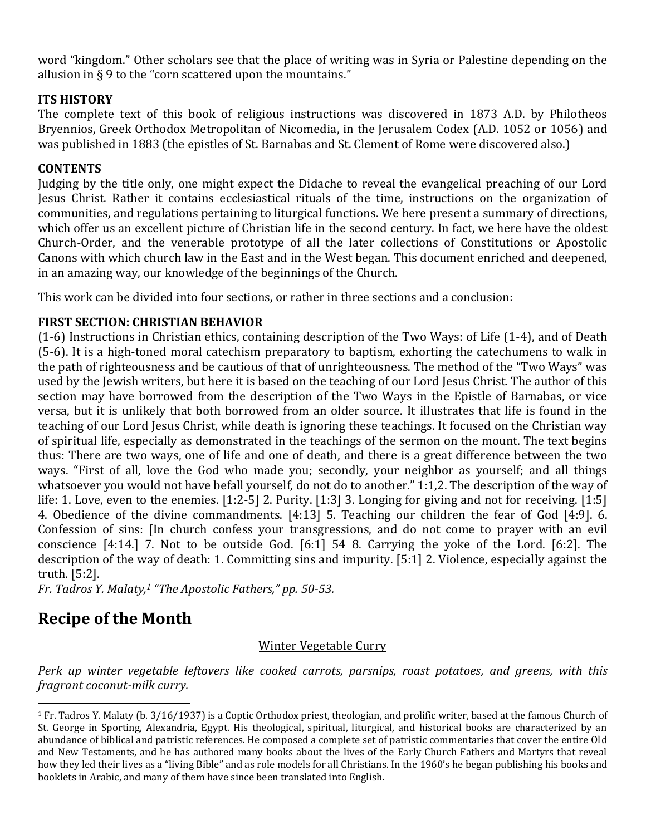word "kingdom." Other scholars see that the place of writing was in Syria or Palestine depending on the allusion in § 9 to the "corn scattered upon the mountains."

### **ITS HISTORY**

The complete text of this book of religious instructions was discovered in 1873 A.D. by Philotheos Bryennios, Greek Orthodox Metropolitan of Nicomedia, in the Jerusalem Codex (A.D. 1052 or 1056) and was published in 1883 (the epistles of St. Barnabas and St. Clement of Rome were discovered also.)

### **CONTENTS**

Judging by the title only, one might expect the Didache to reveal the evangelical preaching of our Lord Jesus Christ. Rather it contains ecclesiastical rituals of the time, instructions on the organization of communities, and regulations pertaining to liturgical functions. We here present a summary of directions, which offer us an excellent picture of Christian life in the second century. In fact, we here have the oldest Church-Order, and the venerable prototype of all the later collections of Constitutions or Apostolic Canons with which church law in the East and in the West began. This document enriched and deepened, in an amazing way, our knowledge of the beginnings of the Church.

This work can be divided into four sections, or rather in three sections and a conclusion:

### **FIRST SECTION: CHRISTIAN BEHAVIOR**

(1-6) Instructions in Christian ethics, containing description of the Two Ways: of Life (1-4), and of Death (5-6). It is a high-toned moral catechism preparatory to baptism, exhorting the catechumens to walk in the path of righteousness and be cautious of that of unrighteousness. The method of the "Two Ways" was used by the Jewish writers, but here it is based on the teaching of our Lord Jesus Christ. The author of this section may have borrowed from the description of the Two Ways in the Epistle of Barnabas, or vice versa, but it is unlikely that both borrowed from an older source. It illustrates that life is found in the teaching of our Lord Jesus Christ, while death is ignoring these teachings. It focused on the Christian way of spiritual life, especially as demonstrated in the teachings of the sermon on the mount. The text begins thus: There are two ways, one of life and one of death, and there is a great difference between the two ways. "First of all, love the God who made you; secondly, your neighbor as yourself; and all things whatsoever you would not have befall yourself, do not do to another." 1:1,2. The description of the way of life: 1. Love, even to the enemies. [1:2-5] 2. Purity. [1:3] 3. Longing for giving and not for receiving. [1:5] 4. Obedience of the divine commandments. [4:13] 5. Teaching our children the fear of God [4:9]. 6. Confession of sins: [In church confess your transgressions, and do not come to prayer with an evil conscience [4:14.] 7. Not to be outside God. [6:1] 54 8. Carrying the yoke of the Lord. [6:2]. The description of the way of death: 1. Committing sins and impurity. [5:1] 2. Violence, especially against the truth. [5:2].

*Fr. Tadros Y. Malaty,<sup>1</sup> "The Apostolic Fathers," pp. 50-53.*

# **Recipe of the Month**

### Winter Vegetable Curry

*Perk up winter vegetable leftovers like cooked carrots, parsnips, roast potatoes, and greens, with this fragrant coconut-milk curry.*

<sup>1</sup> Fr. Tadros Y. Malaty (b. 3/16/1937) is a Coptic Orthodox priest, theologian, and prolific writer, based at the famous Church of St. George in Sporting, Alexandria, Egypt. His theological, spiritual, liturgical, and historical books are characterized by an abundance of biblical and patristic references. He composed a complete set of patristic commentaries that cover the entire Old and New Testaments, and he has authored many books about the lives of the Early Church Fathers and Martyrs that reveal how they led their lives as a "living Bible" and as role models for all Christians. In the 1960's he began publishing his books and booklets in Arabic, and many of them have since been translated into English.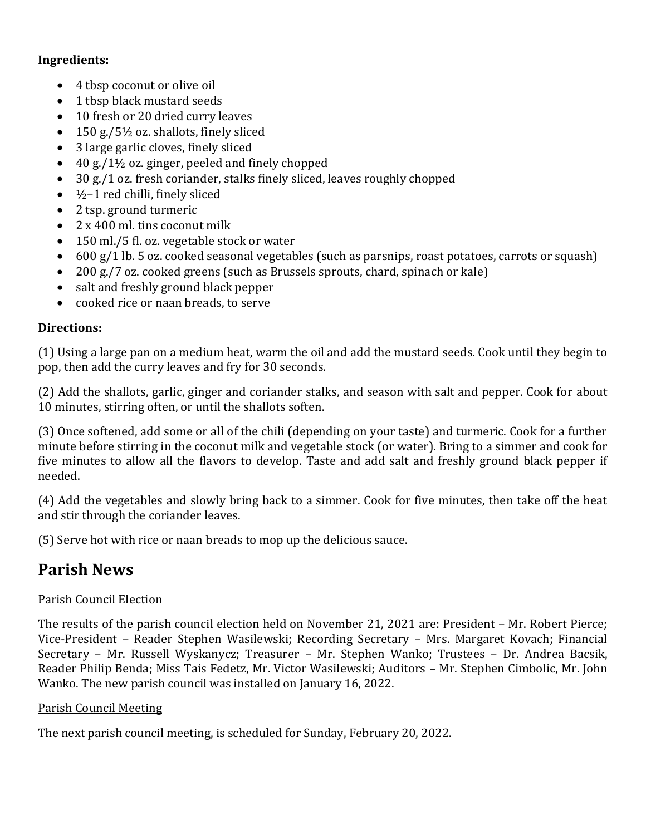### **Ingredients:**

- 4 tbsp coconut or olive oil
- 1 tbsp black mustard seeds
- 10 fresh or 20 dried curry leaves
- 150 g./5 $\frac{1}{2}$  oz. shallots, finely sliced
- 3 large garlic cloves, finely sliced
- 40 g./1 $\frac{1}{2}$  oz. ginger, peeled and finely chopped
- 30 g./1 oz. fresh coriander, stalks finely sliced, leaves roughly chopped
- $\bullet$   $\frac{1}{2}$ –1 red chilli, finely sliced
- 2 tsp. ground turmeric
- 2 x 400 ml. tins coconut milk
- 150 ml./5 fl. oz. vegetable stock or water
- 600 g/1 lb. 5 oz. cooked seasonal vegetables (such as parsnips, roast potatoes, carrots or squash)
- 200 g./7 oz. cooked greens (such as Brussels sprouts, chard, spinach or kale)
- salt and freshly ground black pepper
- cooked rice or naan breads, to serve

### **Directions:**

(1) Using a large pan on a medium heat, warm the oil and add the mustard seeds. Cook until they begin to pop, then add the curry leaves and fry for 30 seconds.

(2) Add the shallots, garlic, ginger and coriander stalks, and season with salt and pepper. Cook for about 10 minutes, stirring often, or until the shallots soften.

(3) Once softened, add some or all of the chili (depending on your taste) and turmeric. Cook for a further minute before stirring in the coconut milk and vegetable stock (or water). Bring to a simmer and cook for five minutes to allow all the flavors to develop. Taste and add salt and freshly ground black pepper if needed.

(4) Add the vegetables and slowly bring back to a simmer. Cook for five minutes, then take off the heat and stir through the coriander leaves.

(5) Serve hot with rice or naan breads to mop up the delicious sauce.

## **Parish News**

### Parish Council Election

The results of the parish council election held on November 21, 2021 are: President – Mr. Robert Pierce; Vice-President – Reader Stephen Wasilewski; Recording Secretary – Mrs. Margaret Kovach; Financial Secretary – Mr. Russell Wyskanycz; Treasurer – Mr. Stephen Wanko; Trustees – Dr. Andrea Bacsik, Reader Philip Benda; Miss Tais Fedetz, Mr. Victor Wasilewski; Auditors – Mr. Stephen Cimbolic, Mr. John Wanko. The new parish council was installed on January 16, 2022.

### Parish Council Meeting

The next parish council meeting, is scheduled for Sunday, February 20, 2022.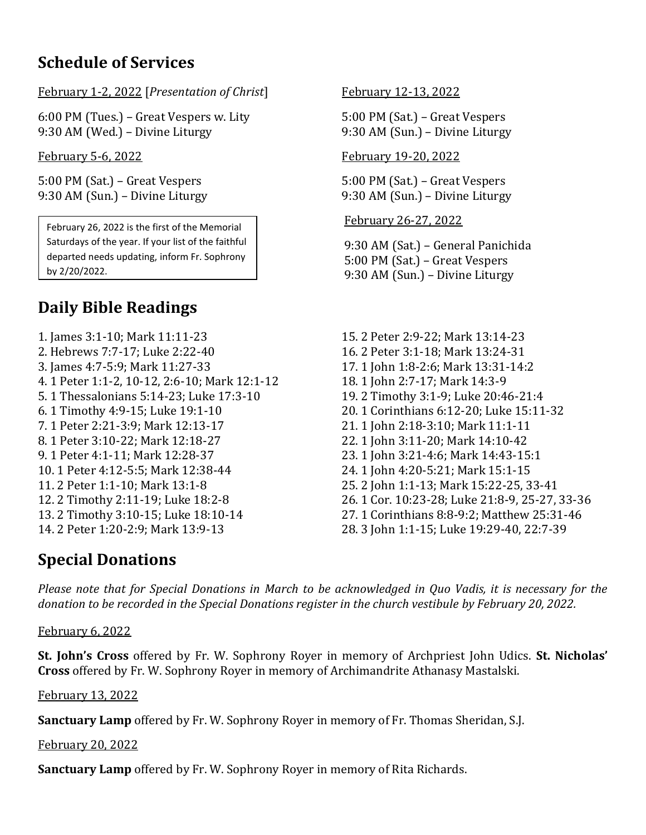# **Schedule of Services**

February 1-2, 2022 [*Presentation of Christ*] February 12-13, 2022

6:00 PM (Tues.) – Great Vespers w. Lity 5:00 PM (Sat.) – Great Vespers 9:30 AM (Wed.) – Divine Liturgy 9:30 AM (Sun.) – Divine Liturgy

5:00 PM (Sat.) – Great Vespers 5:00 PM (Sat.) – Great Vespers

February 26, 2022 is the first of the Memorial Saturdays of the year. If your list of the faithful departed needs updating, inform Fr. Sophrony by 2/20/2022.

# **Daily Bible Readings**

1. James 3:1-10; Mark 11:11-23 15. 2 Peter 2:9-22; Mark 13:14-23 2. Hebrews 7:7-17; Luke 2:22-40 16. 2 Peter 3:1-18; Mark 13:24-31 3. James 4:7-5:9; Mark 11:27-33 17. 1 John 1:8-2:6; Mark 13:31-14:2 4. 1 Peter 1:1-2, 10-12, 2:6-10; Mark 12:1-12 18. 1 John 2:7-17; Mark 14:3-9 5. 1 Thessalonians 5:14-23; Luke 17:3-10 19. 2 Timothy 3:1-9; Luke 20:46-21:4 6. 1 Timothy 4:9-15; Luke 19:1-10 20. 1 Corinthians 6:12-20; Luke 15:11-32 7. 1 Peter 2:21-3:9; Mark 12:13-17 21. 1 John 2:18-3:10; Mark 11:1-11 8. 1 Peter 3:10-22; Mark 12:18-27 22. 1 John 3:11-20; Mark 14:10-42 9. 1 Peter 4:1-11; Mark 12:28-37 23. 1 John 3:21-4:6; Mark 14:43-15:1 10. 1 Peter 4:12-5:5; Mark 12:38-44 24. 1 John 4:20-5:21; Mark 15:1-15 11. 2 Peter 1:1-10; Mark 13:1-8 25. 2 John 1:1-13; Mark 15:22-25, 33-41 14. 2 Peter 1:20-2:9; Mark 13:9-13 28. 3 John 1:1-15; Luke 19:29-40, 22:7-39

February 5-6, 2022 February 19-20, 2022

9:30 AM (Sun.) – Divine Liturgy 9:30 AM (Sun.) – Divine Liturgy

February 26-27, 2022

9:30 AM (Sat.) – General Panichida 5:00 PM (Sat.) – Great Vespers 9:30 AM (Sun.) – Divine Liturgy

12. 2 Timothy 2:11-19; Luke 18:2-8 26. 1 Cor. 10:23-28; Luke 21:8-9, 25-27, 33-36 13. 2 Timothy 3:10-15; Luke 18:10-14 27. 1 Corinthians 8:8-9:2; Matthew 25:31-46

## **Special Donations**

*Please note that for Special Donations in March to be acknowledged in Quo Vadis, it is necessary for the donation to be recorded in the Special Donations register in the church vestibule by February 20, 2022.*

February 6, 2022

**St. John's Cross** offered by Fr. W. Sophrony Royer in memory of Archpriest John Udics. **St. Nicholas' Cross** offered by Fr. W. Sophrony Royer in memory of Archimandrite Athanasy Mastalski.

February 13, 2022

**Sanctuary Lamp** offered by Fr. W. Sophrony Royer in memory of Fr. Thomas Sheridan, S.J.

February 20, 2022

**Sanctuary Lamp** offered by Fr. W. Sophrony Royer in memory of Rita Richards.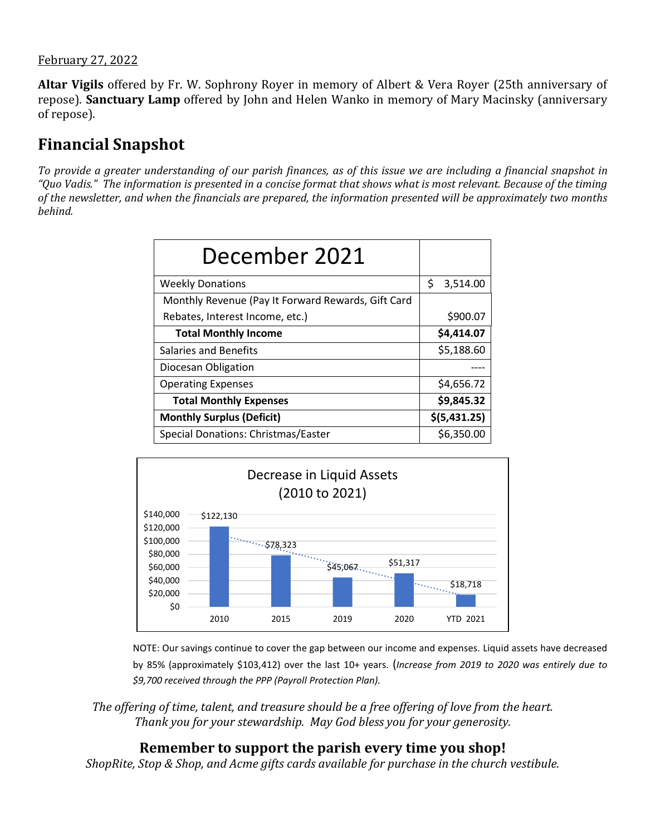**Altar Vigils** offered by Fr. W. Sophrony Royer in memory of Albert & Vera Royer (25th anniversary of repose). **Sanctuary Lamp** offered by John and Helen Wanko in memory of Mary Macinsky (anniversary of repose).

# **Financial Snapshot**

*To provide a greater understanding of our parish finances, as of this issue we are including a financial snapshot in "Quo Vadis." The information is presented in a concise format that shows what is most relevant. Because of the timing of the newsletter, and when the financials are prepared, the information presented will be approximately two months behind.*

| December 2021                                      |                |
|----------------------------------------------------|----------------|
| <b>Weekly Donations</b>                            | \$<br>3,514.00 |
| Monthly Revenue (Pay It Forward Rewards, Gift Card |                |
| Rebates, Interest Income, etc.)                    | \$900.07       |
| <b>Total Monthly Income</b>                        | \$4,414.07     |
| Salaries and Benefits                              | \$5,188.60     |
| Diocesan Obligation                                |                |
| <b>Operating Expenses</b>                          | \$4,656.72     |
| <b>Total Monthly Expenses</b>                      | \$9,845.32     |
| <b>Monthly Surplus (Deficit)</b>                   | \$(5,431.25)   |
| Special Donations: Christmas/Easter                | \$6,350.00     |



NOTE: Our savings continue to cover the gap between our income and expenses. Liquid assets have decreased by 85% (approximately \$103,412) over the last 10+ years. (*Increase from 2019 to 2020 was entirely due to \$9,700 received through the PPP (Payroll Protection Plan).*

*The offering of time, talent, and treasure should be a free offering of love from the heart. Thank you for your stewardship. May God bless you for your generosity.*

### **Remember to support the parish every time you shop!**

*ShopRite, Stop & Shop, and Acme gifts cards available for purchase in the church vestibule.*